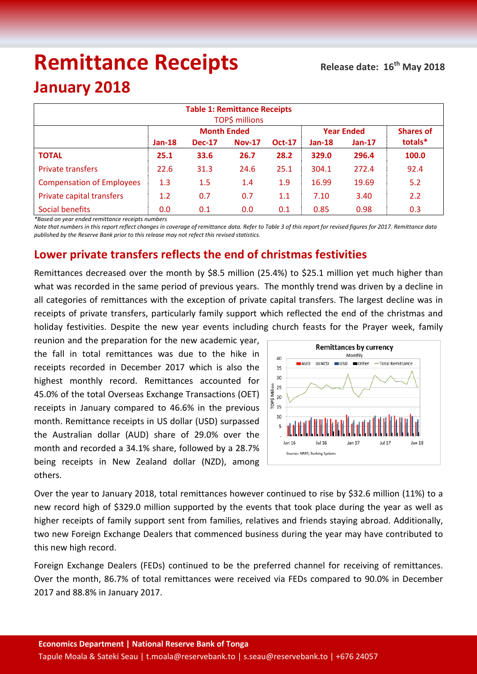# **Remittance Receipts**

# **January 2018**

| <b>Table 1: Remittance Receipts</b><br><b>TOP\$ millions</b> |          |                    |               |               |                   |                  |         |  |  |
|--------------------------------------------------------------|----------|--------------------|---------------|---------------|-------------------|------------------|---------|--|--|
|                                                              |          | <b>Month Ended</b> |               |               | <b>Year Ended</b> | <b>Shares of</b> |         |  |  |
|                                                              | $Jan-18$ | <b>Dec-17</b>      | <b>Nov-17</b> | <b>Oct-17</b> | $Jan-18$          | $Jan-17$         | totals* |  |  |
| <b>TOTAL</b>                                                 | 25.1     | 33.6               | 26.7          | 28.2          | 329.0             | 296.4            | 100.0   |  |  |
| <b>Private transfers</b>                                     | 22.6     | 31.3               | 24.6          | 25.1          | 304.1             | 272.4            | 92.4    |  |  |
| <b>Compensation of Employees</b>                             | 1.3      | 1.5                | 1.4           | 1.9           | 16.99             | 19.69            | 5.2     |  |  |
| Private capital transfers                                    | 1.2      | 0.7                | 0.7           | 1.1           | 7.10              | 3.40             | 2.2     |  |  |
| Social benefits                                              | 0.0      | 0.1                | 0.0           | 0.1           | 0.85              | 0.98             | 0.3     |  |  |

*\*Based on year ended remittance receipts numbers*

*Note that numbers in this report reflect changes in coverage of remittance data. Refer to Table 3 of this report for revised figures for 2017. Remittance data published by the Reserve Bank prior to this release may not refect this revised statistics.*

## **Lower private transfers reflects the end of christmas festivities**

Remittances decreased over the month by \$8.5 million (25.4%) to \$25.1 million yet much higher than what was recorded in the same period of previous years. The monthly trend was driven by a decline in all categories of remittances with the exception of private capital transfers. The largest decline was in receipts of private transfers, particularly family support which reflected the end of the christmas and holiday festivities. Despite the new year events including church feasts for the Prayer week, family

reunion and the preparation for the new academic year, the fall in total remittances was due to the hike in receipts recorded in December 2017 which is also the highest monthly record. Remittances accounted for 45.0% of the total Overseas Exchange Transactions (OET) receipts in January compared to 46.6% in the previous month. Remittance receipts in US dollar (USD) surpassed the Australian dollar (AUD) share of 29.0% over the month and recorded a 34.1% share, followed by a 28.7% being receipts in New Zealand dollar (NZD), among others.



Over the year to January 2018, total remittances however continued to rise by \$32.6 million (11%) to a new record high of \$329.0 million supported by the events that took place during the year as well as higher receipts of family support sent from families, relatives and friends staying abroad. Additionally, two new Foreign Exchange Dealers that commenced business during the year may have contributed to this new high record.

Foreign Exchange Dealers (FEDs) continued to be the preferred channel for receiving of remittances. Over the month, 86.7% of total remittances were received via FEDs compared to 90.0% in December 2017 and 88.8% in January 2017.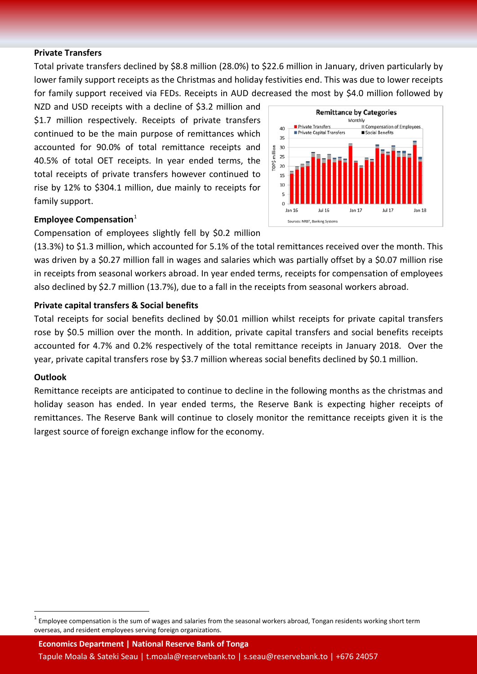#### **Private Transfers**

Total private transfers declined by \$8.8 million (28.0%) to \$22.6 million in January, driven particularly by lower family support receipts as the Christmas and holiday festivities end. This was due to lower receipts for family support received via FEDs. Receipts in AUD decreased the most by \$4.0 million followed by

NZD and USD receipts with a decline of \$3.2 million and \$1.7 million respectively. Receipts of private transfers continued to be the main purpose of remittances which accounted for 90.0% of total remittance receipts and 40.5% of total OET receipts. In year ended terms, the total receipts of private transfers however continued to rise by 12% to \$304.1 million, due mainly to receipts for family support.



#### **Employee Compensation**<sup>[1](#page-1-0)</sup>

Compensation of employees slightly fell by \$0.2 million

(13.3%) to \$1.3 million, which accounted for 5.1% of the total remittances received over the month. This was driven by a \$0.27 million fall in wages and salaries which was partially offset by a \$0.07 million rise in receipts from seasonal workers abroad. In year ended terms, receipts for compensation of employees also declined by \$2.7 million (13.7%), due to a fall in the receipts from seasonal workers abroad.

#### **Private capital transfers & Social benefits**

Total receipts for social benefits declined by \$0.01 million whilst receipts for private capital transfers rose by \$0.5 million over the month. In addition, private capital transfers and social benefits receipts accounted for 4.7% and 0.2% respectively of the total remittance receipts in January 2018. Over the year, private capital transfers rose by \$3.7 million whereas social benefits declined by \$0.1 million.

#### **Outlook**

Remittance receipts are anticipated to continue to decline in the following months as the christmas and holiday season has ended. In year ended terms, the Reserve Bank is expecting higher receipts of remittances. The Reserve Bank will continue to closely monitor the remittance receipts given it is the largest source of foreign exchange inflow for the economy.

**Economics Department | National Reserve Bank of Tonga** Tapule Moala & Sateki Seau | t.moala@reservebank.to | s.seau@reservebank.to | +676 24057

<span id="page-1-0"></span>Employee compensation is the sum of wages and salaries from the seasonal workers abroad, Tongan residents working short term overseas, and resident employees serving foreign organizations.